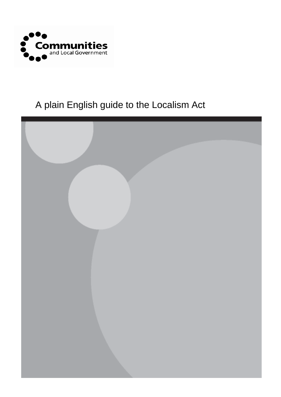

# A plain English guide to the Localism Act

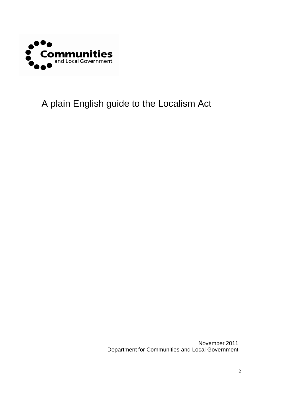

# A plain English guide to the Localism Act

November 2011 Department for Communities and Local Government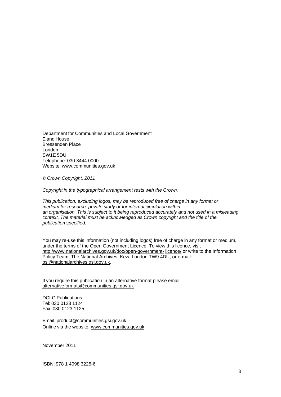Department for Communities and Local Government Eland House Bressenden Place London SW1E 5DU Telephone: 030 3444 0000 Website: [www.communities.gov.uk](http://www.communities.gov.uk/) 

© *Crown Copyright, 2011*

*Copyright in the typographical arrangement rests with the Crown.*

*This publication, excluding logos, may be reproduced free of charge in any format or medium for research, private study or for internal circulation within an organisation. This is subject to it being reproduced accurately and not used in a misleading context. The material must be acknowledged as Crown copyright and the title of the publication specified.*

You may re-use this information (not including logos) free of charge in any format or medium, under the terms of the Open Government Licence. To view this licence, visit [http://www.nationalarchives.gov.uk/doc/open-government-](http://www.nationalarchives.gov.uk/doc/open-government-licence/) [licence/ or](http://www.nationalarchives.gov.uk/doc/open-government-licence/) write to the Information Policy Team, The National Archives, Kew, London TW9 4DU, or e-mail: [psi@nationalarchives.gsi.gov.uk.](mailto:psi@nationalarchives.gsi.gov.uk) 

If you require this publication in an alternative format please email [alternativeformats@communities.gsi.gov.uk](mailto:alternativeformats@communities.gsi.gov.uk)

DCLG Publications Tel: 030 0123 1124 Fax: 030 0123 1125

Email: [product@communities.gsi.gov.uk](mailto:product@communities.gsi.gov.uk) Online via the website: [www.communities.gov.uk](http://www.communities.gov.uk/)

November 2011

ISBN: 978 1 4098 3225-6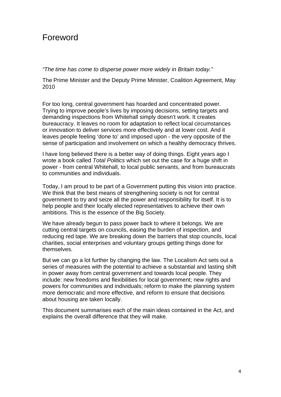# Foreword

*"The time has come to disperse power more widely in Britain today."*

The Prime Minister and the Deputy Prime Minister, Coalition Agreement, May 2010

For too long, central government has hoarded and concentrated power. Trying to improve people's lives by imposing decisions, setting targets and demanding inspections from Whitehall simply doesn't work. It creates bureaucracy. It leaves no room for adaptation to reflect local circumstances or innovation to deliver services more effectively and at lower cost. And it leaves people feeling 'done to' and imposed upon - the very opposite of the sense of participation and involvement on which a healthy democracy thrives.

I have long believed there is a better way of doing things. Eight years ago I wrote a book called *Total Politics* which set out the case for a huge shift in power - from central Whitehall, to local public servants, and from bureaucrats to communities and individuals.

Today, I am proud to be part of a Government putting this vision into practice. We think that the best means of strengthening society is not for central government to try and seize all the power and responsibility for itself. It is to help people and their locally elected representatives to achieve their own ambitions. This is the essence of the Big Society.

We have already begun to pass power back to where it belongs. We are cutting central targets on councils, easing the burden of inspection, and reducing red tape. We are breaking down the barriers that stop councils, local charities, social enterprises and voluntary groups getting things done for themselves.

But we can go a lot further by changing the law. The Localism Act sets out a series of measures with the potential to achieve a substantial and lasting shift in power away from central government and towards local people. They include: new freedoms and flexibilities for local government; new rights and powers for communities and individuals; reform to make the planning system more democratic and more effective, and reform to ensure that decisions about housing are taken locally.

This document summarises each of the main ideas contained in the Act, and explains the overall difference that they will make.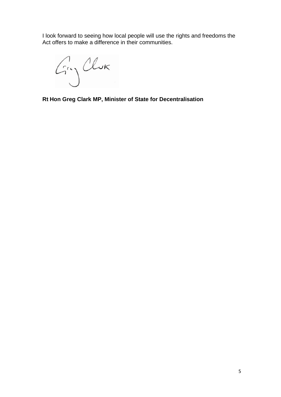I look forward to seeing how local people will use the rights and freedoms the Act offers to make a difference in their communities.

 $G_{ij}$ Cluk

**Rt Hon Greg Clark MP, Minister of State for Decentralisation**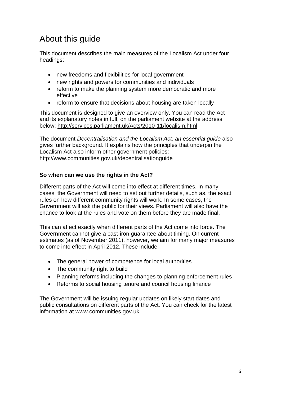# About this guide

This document describes the main measures of the Localism Act under four headings:

- new freedoms and flexibilities for local government
- new rights and powers for communities and individuals
- reform to make the planning system more democratic and more effective
- reform to ensure that decisions about housing are taken locally

This document is designed to give an overview only. You can read the Act and its explanatory notes in full, on the parliament website at the address below: [http://services.parliament.uk/Acts/2010-11/localism.html](http://services.parliament.uk/bills/2010-11/localism.html)

The document *Decentralisation and the Localism Act: an essential guide* also gives further background. It explains how the principles that underpin the Localism Act also inform other government policies: <http://www.communities.gov.uk/decentralisationguide>

# **So when can we use the rights in the Act?**

Different parts of the Act will come into effect at different times. In many cases, the Government will need to set out further details, such as, the exact rules on how different community rights will work. In some cases, the Government will ask the public for their views. Parliament will also have the chance to look at the rules and vote on them before they are made final.

This can affect exactly when different parts of the Act come into force. The Government cannot give a cast-iron guarantee about timing. On current estimates (as of November 2011), however, we aim for many major measures to come into effect in April 2012. These include:

- The general power of competence for local authorities
- The community right to build
- Planning reforms including the changes to planning enforcement rules
- Reforms to social housing tenure and council housing finance

The Government will be issuing regular updates on likely start dates and public consultations on different parts of the Act. You can check for the latest information at www.communities.gov.uk.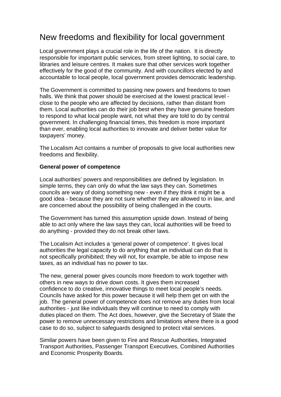# New freedoms and flexibility for local government

Local government plays a crucial role in the life of the nation. It is directly responsible for important public services, from street lighting, to social care, to libraries and leisure centres. It makes sure that other services work together effectively for the good of the community. And with councillors elected by and accountable to local people, local government provides democratic leadership.

The Government is committed to passing new powers and freedoms to town halls. We think that power should be exercised at the lowest practical level close to the people who are affected by decisions, rather than distant from them. Local authorities can do their job best when they have genuine freedom to respond to what local people want, not what they are told to do by central government. In challenging financial times, this freedom is more important than ever, enabling local authorities to innovate and deliver better value for taxpayers' money.

The Localism Act contains a number of proposals to give local authorities new freedoms and flexibility.

#### **General power of competence**

Local authorities' powers and responsibilities are defined by legislation. In simple terms, they can only do what the law says they can. Sometimes councils are wary of doing something new - even if they think it might be a good idea - because they are not sure whether they are allowed to in law, and are concerned about the possibility of being challenged in the courts.

The Government has turned this assumption upside down. Instead of being able to act only where the law says they can, local authorities will be freed to do anything - provided they do not break other laws.

The Localism Act includes a 'general power of competence'. It gives local authorities the legal capacity to do anything that an individual can do that is not specifically prohibited; they will not, for example, be able to impose new taxes, as an individual has no power to tax.

The new, general power gives councils more freedom to work together with others in new ways to drive down costs. It gives them increased confidence to do creative, innovative things to meet local people's needs. Councils have asked for this power because it will help them get on with the job. The general power of competence does not remove any duties from local authorities - just like individuals they will continue to need to comply with duties placed on them. The Act does, however, give the Secretary of State the power to remove unnecessary restrictions and limitations where there is a good case to do so, subject to safeguards designed to protect vital services.

Similar powers have been given to Fire and Rescue Authorities, Integrated Transport Authorities, Passenger Transport Executives, Combined Authorities and Economic Prosperity Boards.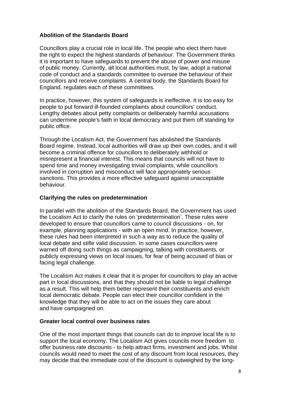# **Abolition of the Standards Board**

Councillors play a crucial role in local life. The people who elect them have the right to expect the highest standards of behaviour. The Government thinks it is important to have safeguards to prevent the abuse of power and misuse of public money. Currently, all local authorities must, by law, adopt a national code of conduct and a standards committee to oversee the behaviour of their councillors and receive complaints. A central body, the Standards Board for England, regulates each of these committees.

In practice, however, this system of safeguards is ineffective. It is too easy for people to put forward ill-founded complaints about councillors' conduct. Lengthy debates about petty complaints or deliberately harmful accusations can undermine people's faith in local democracy and put them off standing for public office.

Through the Localism Act, the Government has abolished the Standards Board regime. Instead, local authorities will draw up their own codes, and it will become a criminal offence for councillors to deliberately withhold or misrepresent a financial interest. This means that councils will not have to spend time and money investigating trivial complaints, while councillors involved in corruption and misconduct will face appropriately serious sanctions. This provides a more effective safeguard against unacceptable behaviour.

#### **Clarifying the rules on predetermination**

In parallel with the abolition of the Standards Board, the Government has used the Localism Act to clarify the rules on 'predetermination'. These rules were developed to ensure that councillors came to council discussions - on, for example, planning applications - with an open mind. In practice, however, these rules had been interpreted in such a way as to reduce the quality of local debate and stifle valid discussion. In some cases councillors were warned off doing such things as campaigning, talking with constituents, or publicly expressing views on local issues, for fear of being accused of bias or facing legal challenge.

The Localism Act makes it clear that it is proper for councillors to play an active part in local discussions, and that they should not be liable to legal challenge as a result. This will help them better represent their constituents and enrich local democratic debate. People can elect their councillor confident in the knowledge that they will be able to act on the issues they care about and have campaigned on.

#### **Greater local control over business rates**

One of the most important things that councils can do to improve local life is to support the local economy. The Localism Act gives councils more freedom to offer business rate discounts - to help attract firms, investment and jobs. Whilst councils would need to meet the cost of any discount from local resources, they may decide that the immediate cost of the discount is outweighed by the long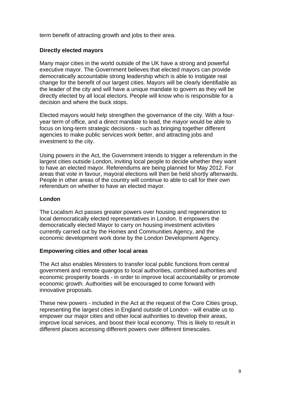term benefit of attracting growth and jobs to their area.

# **Directly elected mayors**

Many major cities in the world outside of the UK have a strong and powerful executive mayor. The Government believes that elected mayors can provide democratically accountable strong leadership which is able to instigate real change for the benefit of our largest cities. Mayors will be clearly identifiable as the leader of the city and will have a unique mandate to govern as they will be directly elected by all local electors. People will know who is responsible for a decision and where the buck stops.

Elected mayors would help strengthen the governance of the city. With a fouryear term of office, and a direct mandate to lead, the mayor would be able to focus on long-term strategic decisions - such as bringing together different agencies to make public services work better, and attracting jobs and investment to the city.

Using powers in the Act, the Government intends to trigger a referendum in the largest cities outside London, inviting local people to decide whether they want to have an elected mayor. Referendums are being planned for May 2012. For areas that vote in favour, mayoral elections will then be held shortly afterwards. People in other areas of the country will continue to able to call for their own referendum on whether to have an elected mayor.

## **London**

The Localism Act passes greater powers over housing and regeneration to local democratically elected representatives in London. It empowers the democratically elected Mayor to carry on housing investment activities currently carried out by the Homes and Communities Agency, and the economic development work done by the London Development Agency.

## **Empowering cities and other local areas**

The Act also enables Ministers to transfer local public functions from central government and remote quangos to local authorities, combined authorities and economic prosperity boards - in order to improve local accountability or promote economic growth. Authorities will be encouraged to come forward with innovative proposals.

These new powers - included in the Act at the request of the Core Cities group, representing the largest cities in England outside of London - will enable us to empower our major cities and other local authorities to develop their areas, improve local services, and boost their local economy. This is likely to result in different places accessing different powers over different timescales.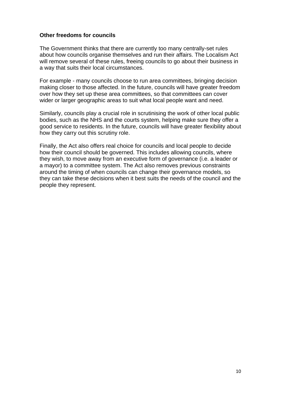## **Other freedoms for councils**

The Government thinks that there are currently too many centrally-set rules about how councils organise themselves and run their affairs. The Localism Act will remove several of these rules, freeing councils to go about their business in a way that suits their local circumstances.

For example - many councils choose to run area committees, bringing decision making closer to those affected. In the future, councils will have greater freedom over how they set up these area committees, so that committees can cover wider or larger geographic areas to suit what local people want and need.

Similarly, councils play a crucial role in scrutinising the work of other local public bodies, such as the NHS and the courts system, helping make sure they offer a good service to residents. In the future, councils will have greater flexibility about how they carry out this scrutiny role.

Finally, the Act also offers real choice for councils and local people to decide how their council should be governed. This includes allowing councils, where they wish, to move away from an executive form of governance (i.e. a leader or a mayor) to a committee system. The Act also removes previous constraints around the timing of when councils can change their governance models, so they can take these decisions when it best suits the needs of the council and the people they represent.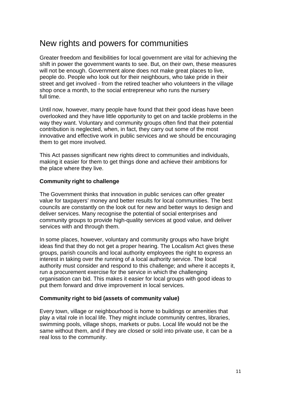# New rights and powers for communities

Greater freedom and flexibilities for local government are vital for achieving the shift in power the government wants to see. But, on their own, these measures will not be enough. Government alone does not make great places to live, people do. People who look out for their neighbours, who take pride in their street and get involved - from the retired teacher who volunteers in the village shop once a month, to the social entrepreneur who runs the nursery full time.

Until now, however, many people have found that their good ideas have been overlooked and they have little opportunity to get on and tackle problems in the way they want. Voluntary and community groups often find that their potential contribution is neglected, when, in fact, they carry out some of the most innovative and effective work in public services and we should be encouraging them to get more involved.

This Act passes significant new rights direct to communities and individuals, making it easier for them to get things done and achieve their ambitions for the place where they live.

## **Community right to challenge**

The Government thinks that innovation in public services can offer greater value for taxpayers' money and better results for local communities. The best councils are constantly on the look out for new and better ways to design and deliver services. Many recognise the potential of social enterprises and community groups to provide high-quality services at good value, and deliver services with and through them.

In some places, however, voluntary and community groups who have bright ideas find that they do not get a proper hearing. The Localism Act gives these groups, parish councils and local authority employees the right to express an interest in taking over the running of a local authority service. The local authority must consider and respond to this challenge; and where it accepts it, run a procurement exercise for the service in which the challenging organisation can bid. This makes it easier for local groups with good ideas to put them forward and drive improvement in local services.

#### **Community right to bid (assets of community value)**

Every town, village or neighbourhood is home to buildings or amenities that play a vital role in local life. They might include community centres, libraries, swimming pools, village shops, markets or pubs. Local life would not be the same without them, and if they are closed or sold into private use, it can be a real loss to the community.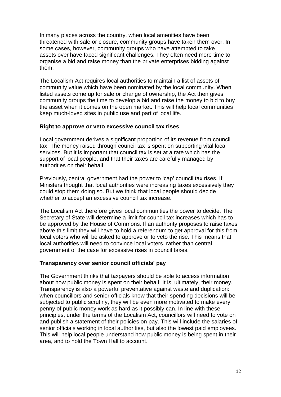In many places across the country, when local amenities have been threatened with sale or closure, community groups have taken them over. In some cases, however, community groups who have attempted to take assets over have faced significant challenges. They often need more time to organise a bid and raise money than the private enterprises bidding against them.

The Localism Act requires local authorities to maintain a list of assets of community value which have been nominated by the local community. When listed assets come up for sale or change of ownership, the Act then gives community groups the time to develop a bid and raise the money to bid to buy the asset when it comes on the open market. This will help local communities keep much-loved sites in public use and part of local life.

## **Right to approve or veto excessive council tax rises**

Local government derives a significant proportion of its revenue from council tax. The money raised through council tax is spent on supporting vital local services. But it is important that council tax is set at a rate which has the support of local people, and that their taxes are carefully managed by authorities on their behalf.

Previously, central government had the power to 'cap' council tax rises. If Ministers thought that local authorities were increasing taxes excessively they could stop them doing so. But we think that local people should decide whether to accept an excessive council tax increase.

The Localism Act therefore gives local communities the power to decide. The Secretary of State will determine a limit for council tax increases which has to be approved by the House of Commons. If an authority proposes to raise taxes above this limit they will have to hold a referendum to get approval for this from local voters who will be asked to approve or to veto the rise. This means that local authorities will need to convince local voters, rather than central government of the case for excessive rises in council taxes.

## **Transparency over senior council officials' pay**

The Government thinks that taxpayers should be able to access information about how public money is spent on their behalf. It is, ultimately, their money. Transparency is also a powerful preventative against waste and duplication: when councillors and senior officials know that their spending decisions will be subjected to public scrutiny, they will be even more motivated to make every penny of public money work as hard as it possibly can. In line with these principles, under the terms of the Localism Act, councillors will need to vote on and publish a statement of their policies on pay. This will include the salaries of senior officials working in local authorities, but also the lowest paid employees. This will help local people understand how public money is being spent in their area, and to hold the Town Hall to account.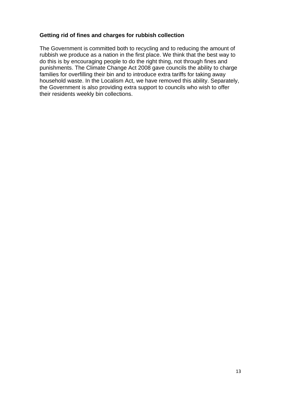# **Getting rid of fines and charges for rubbish collection**

The Government is committed both to recycling and to reducing the amount of rubbish we produce as a nation in the first place. We think that the best way to do this is by encouraging people to do the right thing, not through fines and punishments. The Climate Change Act 2008 gave councils the ability to charge families for overfilling their bin and to introduce extra tariffs for taking away household waste. In the Localism Act, we have removed this ability. Separately, the Government is also providing extra support to councils who wish to offer their residents weekly bin collections.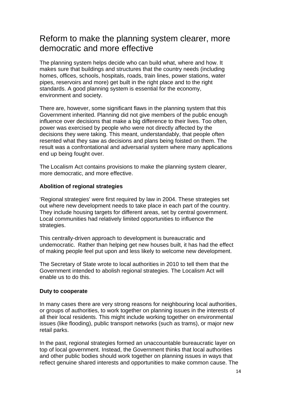# Reform to make the planning system clearer, more democratic and more effective

The planning system helps decide who can build what, where and how. It makes sure that buildings and structures that the country needs (including homes, offices, schools, hospitals, roads, train lines, power stations, water pipes, reservoirs and more) get built in the right place and to the right standards. A good planning system is essential for the economy, environment and society.

There are, however, some significant flaws in the planning system that this Government inherited. Planning did not give members of the public enough influence over decisions that make a big difference to their lives. Too often, power was exercised by people who were not directly affected by the decisions they were taking. This meant, understandably, that people often resented what they saw as decisions and plans being foisted on them. The result was a confrontational and adversarial system where many applications end up being fought over.

The Localism Act contains provisions to make the planning system clearer, more democratic, and more effective.

# **Abolition of regional strategies**

'Regional strategies' were first required by law in 2004. These strategies set out where new development needs to take place in each part of the country. They include housing targets for different areas, set by central government. Local communities had relatively limited opportunities to influence the strategies.

This centrally-driven approach to development is bureaucratic and undemocratic. Rather than helping get new houses built, it has had the effect of making people feel put upon and less likely to welcome new development.

The Secretary of State wrote to local authorities in 2010 to tell them that the Government intended to abolish regional strategies. The Localism Act will enable us to do this.

## **Duty to cooperate**

In many cases there are very strong reasons for neighbouring local authorities, or groups of authorities, to work together on planning issues in the interests of all their local residents. This might include working together on environmental issues (like flooding), public transport networks (such as trams), or major new retail parks.

In the past, regional strategies formed an unaccountable bureaucratic layer on top of local government. Instead, the Government thinks that local authorities and other public bodies should work together on planning issues in ways that reflect genuine shared interests and opportunities to make common cause. The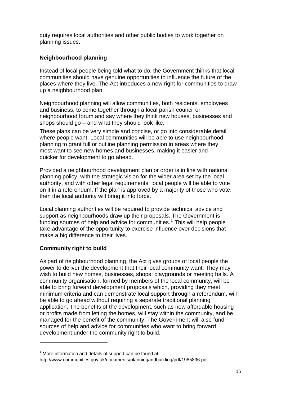<span id="page-14-0"></span>duty requires local authorities and other public bodies to work together on planning issues.

# **Neighbourhood planning**

Instead of local people being told what to do, the Government thinks that local communities should have genuine opportunities to influence the future of the places where they live. The Act introduces a new right for communities to draw up a neighbourhood plan.

Neighbourhood planning will allow communities, both residents, employees and business, to come together through a local parish council or neighbourhood forum and say where they think new houses, businesses and shops should go – and what they should look like.

These plans can be very simple and concise, or go into considerable detail where people want. Local communities will be able to use neighbourhood planning to grant full or outline planning permission in areas where they most want to see new homes and businesses, making it easier and quicker for development to go ahead.

Provided a neighbourhood development plan or order is in line with national planning policy, with the strategic vision for the wider area set by the local authority, and with other legal requirements, local people will be able to vote on it in a referendum. If the plan is approved by a majority of those who vote, then the local authority will bring it into force.

Local planning authorities will be required to provide technical advice and support as neighbourhoods draw up their proposals. The Government is funding sources of help and advice for communities.<sup>[1](#page-14-0)</sup> This will help people take advantage of the opportunity to exercise influence over decisions that make a big difference to their lives.

# **Community right to build**

As part of neighbourhood planning, the Act gives groups of local people the power to deliver the development that their local community want. They may wish to build new homes, businesses, shops, playgrounds or meeting halls. A community organisation, formed by members of the local community, will be able to bring forward development proposals which, providing they meet minimum criteria and can demonstrate local support through a referendum, will be able to go ahead without requiring a separate traditional planning application. The benefits of the development, such as new affordable housing or profits made from letting the homes, will stay within the community, and be managed for the benefit of the community. The Government will also fund sources of help and advice for communities who want to bring forward development under the community right to build.

 $1$  More information and details of support can be found at http://www.communities.gov.uk/documents/planningandbuilding/pdf/1985896.pdf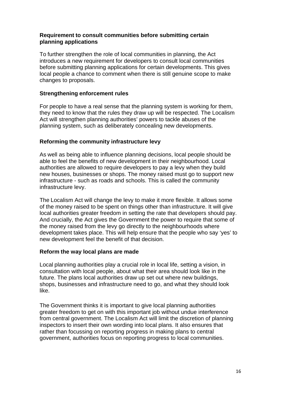## **Requirement to consult communities before submitting certain planning applications**

To further strengthen the role of local communities in planning, the Act introduces a new requirement for developers to consult local communities before submitting planning applications for certain developments. This gives local people a chance to comment when there is still genuine scope to make changes to proposals.

# **Strengthening enforcement rules**

For people to have a real sense that the planning system is working for them, they need to know that the rules they draw up will be respected. The Localism Act will strengthen planning authorities' powers to tackle abuses of the planning system, such as deliberately concealing new developments.

# **Reforming the community infrastructure levy**

As well as being able to influence planning decisions, local people should be able to feel the benefits of new development in their neighbourhood. Local authorities are allowed to require developers to pay a levy when they build new houses, businesses or shops. The money raised must go to support new infrastructure - such as roads and schools. This is called the community infrastructure levy.

The Localism Act will change the levy to make it more flexible. It allows some of the money raised to be spent on things other than infrastructure. It will give local authorities greater freedom in setting the rate that developers should pay. And crucially, the Act gives the Government the power to require that some of the money raised from the levy go directly to the neighbourhoods where development takes place. This will help ensure that the people who say 'yes' to new development feel the benefit of that decision.

## **Reform the way local plans are made**

Local planning authorities play a crucial role in local life, setting a vision, in consultation with local people, about what their area should look like in the future. The plans local authorities draw up set out where new buildings, shops, businesses and infrastructure need to go, and what they should look like.

The Government thinks it is important to give local planning authorities greater freedom to get on with this important job without undue interference from central government. The Localism Act will limit the discretion of planning inspectors to insert their own wording into local plans. It also ensures that rather than focussing on reporting progress in making plans to central government, authorities focus on reporting progress to local communities.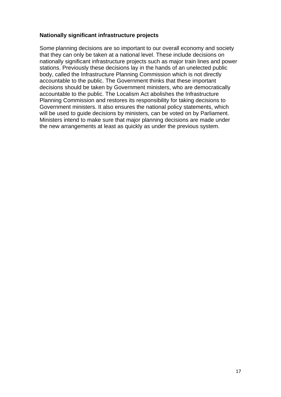# **Nationally significant infrastructure projects**

Some planning decisions are so important to our overall economy and society that they can only be taken at a national level. These include decisions on nationally significant infrastructure projects such as major train lines and power stations. Previously these decisions lay in the hands of an unelected public body, called the Infrastructure Planning Commission which is not directly accountable to the public. The Government thinks that these important decisions should be taken by Government ministers, who are democratically accountable to the public. The Localism Act abolishes the Infrastructure Planning Commission and restores its responsibility for taking decisions to Government ministers. It also ensures the national policy statements, which will be used to guide decisions by ministers, can be voted on by Parliament. Ministers intend to make sure that major planning decisions are made under the new arrangements at least as quickly as under the previous system.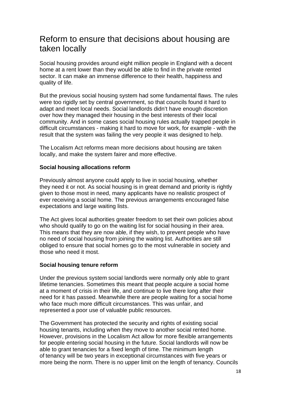# Reform to ensure that decisions about housing are taken locally

Social housing provides around eight million people in England with a decent home at a rent lower than they would be able to find in the private rented sector. It can make an immense difference to their health, happiness and quality of life.

But the previous social housing system had some fundamental flaws. The rules were too rigidly set by central government, so that councils found it hard to adapt and meet local needs. Social landlords didn't have enough discretion over how they managed their housing in the best interests of their local community. And in some cases social housing rules actually trapped people in difficult circumstances - making it hard to move for work, for example - with the result that the system was failing the very people it was designed to help.

The Localism Act reforms mean more decisions about housing are taken locally, and make the system fairer and more effective.

# **Social housing allocations reform**

Previously almost anyone could apply to live in social housing, whether they need it or not. As social housing is in great demand and priority is rightly given to those most in need, many applicants have no realistic prospect of ever receiving a social home. The previous arrangements encouraged false expectations and large waiting lists.

The Act gives local authorities greater freedom to set their own policies about who should qualify to go on the waiting list for social housing in their area. This means that they are now able, if they wish, to prevent people who have no need of social housing from joining the waiting list. Authorities are still obliged to ensure that social homes go to the most vulnerable in society and those who need it most.

## **Social housing tenure reform**

Under the previous system social landlords were normally only able to grant lifetime tenancies. Sometimes this meant that people acquire a social home at a moment of crisis in their life, and continue to live there long after their need for it has passed. Meanwhile there are people waiting for a social home who face much more difficult circumstances. This was unfair, and represented a poor use of valuable public resources.

The Government has protected the security and rights of existing social housing tenants, including when they move to another social rented home. However, provisions in the Localism Act allow for more flexible arrangements for people entering social housing in the future. Social landlords will now be able to grant tenancies for a fixed length of time. The minimum length of tenancy will be two years in exceptional circumstances with five years or more being the norm. There is no upper limit on the length of tenancy. Councils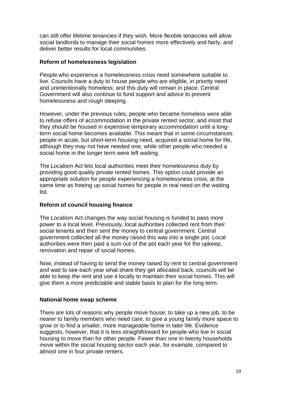can still offer lifetime tenancies if they wish. More flexible tenancies will allow social landlords to manage their social homes more effectively and fairly, and deliver better results for local communities.

# **Reform of homelessness legislation**

People who experience a homelessness crisis need somewhere suitable to live. Councils have a duty to house people who are eligible, in priority need and unintentionally homeless; and this duty will remain in place. Central Government will also continue to fund support and advice to prevent homelessness and rough sleeping.

However, under the previous rules, people who became homeless were able to refuse offers of accommodation in the private rented sector, and insist that they should be housed in expensive temporary accommodation until a longterm social home becomes available. This meant that in some circumstances people in acute, but short-term housing need, acquired a social home for life, although they may not have needed one, while other people who needed a social home in the longer term were left waiting.

The Localism Act lets local authorities meet their homelessness duty by providing good quality private rented homes. This option could provide an appropriate solution for people experiencing a homelessness crisis, at the same time as freeing up social homes for people in real need on the waiting list.

# **Reform of council housing finance**

The Localism Act changes the way social housing is funded to pass more power to a local level. Previously, local authorities collected rent from their social tenants and then sent the money to central government. Central government collected all the money raised this way into a single pot. Local authorities were then paid a sum out of the pot each year for the upkeep, renovation and repair of social homes.

Now, instead of having to send the money raised by rent to central government and wait to see each year what share they get allocated back, councils will be able to keep the rent and use it locally to maintain their social homes. This will give them a more predictable and stable basis to plan for the long term.

## **National home swap scheme**

There are lots of reasons why people move house; to take up a new job, to be nearer to family members who need care, to give a young family more space to grow or to find a smaller, more manageable home in later life. Evidence suggests, however, that it is less straightforward for people who live in social housing to move than for other people. Fewer than one in twenty households move within the social housing sector each year, for example, compared to almost one in four private renters.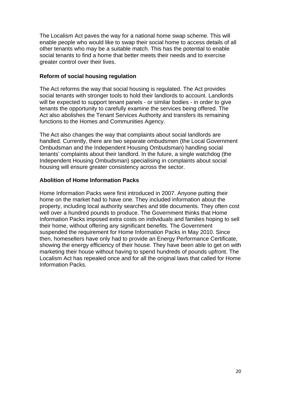The Localism Act paves the way for a national home swap scheme. This will enable people who would like to swap their social home to access details of all other tenants who may be a suitable match. This has the potential to enable social tenants to find a home that better meets their needs and to exercise greater control over their lives.

# **Reform of social housing regulation**

The Act reforms the way that social housing is regulated. The Act provides social tenants with stronger tools to hold their landlords to account. Landlords will be expected to support tenant panels - or similar bodies - in order to give tenants the opportunity to carefully examine the services being offered. The Act also abolishes the Tenant Services Authority and transfers its remaining functions to the Homes and Communities Agency.

The Act also changes the way that complaints about social landlords are handled. Currently, there are two separate ombudsmen (the Local Government Ombudsman and the Independent Housing Ombudsman) handling social tenants' complaints about their landlord. In the future, a single watchdog (the Independent Housing Ombudsman) specialising in complaints about social housing will ensure greater consistency across the sector.

# **Abolition of Home Information Packs**

Home Information Packs were first introduced in 2007. Anyone putting their home on the market had to have one. They included information about the property, including local authority searches and title documents. They often cost well over a hundred pounds to produce. The Government thinks that Home Information Packs imposed extra costs on individuals and families hoping to sell their home, without offering any significant benefits. The Government suspended the requirement for Home Information Packs in May 2010. Since then, homesellers have only had to provide an Energy Performance Certificate, showing the energy efficiency of their house. They have been able to get on with marketing their house without having to spend hundreds of pounds upfront. The Localism Act has repealed once and for all the original laws that called for Home Information Packs.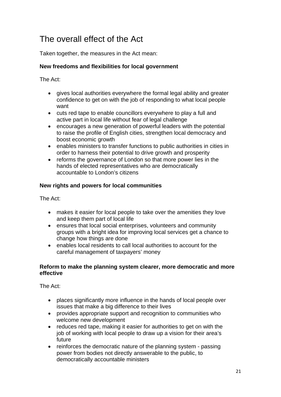# The overall effect of the Act

Taken together, the measures in the Act mean:

# **New freedoms and flexibilities for local government**

The Act:

- gives local authorities everywhere the formal legal ability and greater confidence to get on with the job of responding to what local people want
- cuts red tape to enable councillors everywhere to play a full and active part in local life without fear of legal challenge
- encourages a new generation of powerful leaders with the potential to raise the profile of English cities, strengthen local democracy and boost economic growth
- enables ministers to transfer functions to public authorities in cities in order to harness their potential to drive growth and prosperity
- reforms the governance of London so that more power lies in the hands of elected representatives who are democratically accountable to London's citizens

# **New rights and powers for local communities**

The Act:

- makes it easier for local people to take over the amenities they love and keep them part of local life
- ensures that local social enterprises, volunteers and community groups with a bright idea for improving local services get a chance to change how things are done
- enables local residents to call local authorities to account for the careful management of taxpayers' money

# **Reform to make the planning system clearer, more democratic and more effective**

The Act:

- places significantly more influence in the hands of local people over issues that make a big difference to their lives
- provides appropriate support and recognition to communities who welcome new development
- reduces red tape, making it easier for authorities to get on with the job of working with local people to draw up a vision for their area's future
- reinforces the democratic nature of the planning system passing power from bodies not directly answerable to the public, to democratically accountable ministers